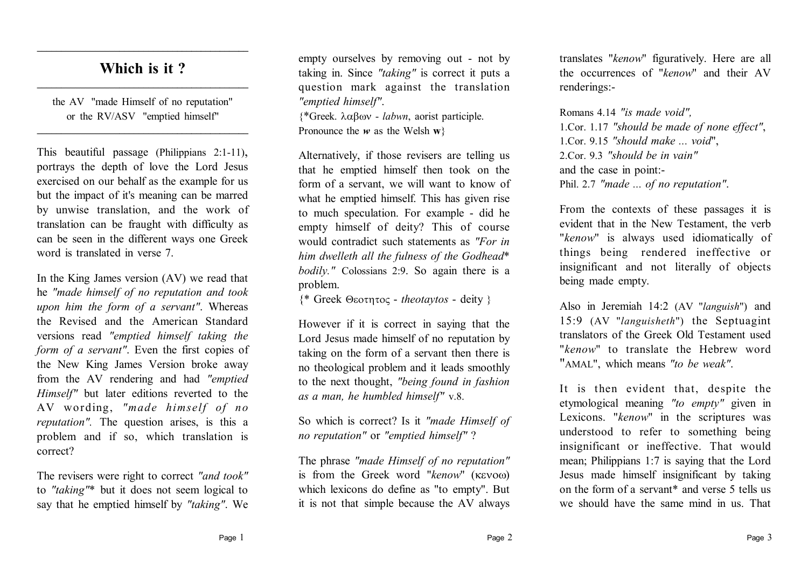## **Which is it ? \_\_\_\_\_\_\_\_\_\_\_\_\_\_\_\_\_\_\_\_\_\_\_\_\_\_\_\_\_\_\_\_\_\_\_\_\_\_\_\_\_\_\_\_**

**\_\_\_\_\_\_\_\_\_\_\_\_\_\_\_\_\_\_\_\_\_\_\_\_\_\_\_\_\_\_\_\_\_\_\_\_\_\_\_\_\_\_\_\_**

the AV "made Himself of no reputation" or the RV/ASV "emptied himself"

**\_\_\_\_\_\_\_\_\_\_\_\_\_\_\_\_\_\_\_\_\_\_\_\_\_\_\_\_\_\_\_\_\_\_\_\_\_\_\_\_\_\_\_\_**

This beautiful passage (Philippians 2:1-11), portrays the depth of love the Lord Jesus exercised on our behalf as the example for us but the impact of it's meaning can be marred by unwise translation, and the work of translation can be fraught with difficulty as can be seen in the different ways one Greek word is translated in verse 7.

In the King James version (AV) we read that he *"made himself of no reputation and took upon him the form of a servant"*. Whereas the Revised and the American Standard versions read *"emptied himself taking the form of a servant"*. Even the first copies of the New King James Version broke away from the AV rendering and had *"emptied Himself"* but later editions reverted to the AV wording, *"made himself of no reputation".* The question arises, is this a problem and if so, which translation is correct?

The revisers were right to correct *"and took"* to *"taking"*\* but it does not seem logical to say that he emptied himself by *"taking"*. We empty ourselves by removing out - not by taking in. Since *"taking"* is correct it puts a question mark against the translation *"emptied himself"*.

 ${\ast}$ Greek.  $\lambda \alpha \beta \omega v - labwn$ , aorist participle. Pronounce the  $w$  as the Welsh  $w$ }

Alternatively, if those revisers are telling us that he emptied himself then took on the form of a servant, we will want to know of what he emptied himself. This has given rise to much speculation. For example - did he empty himself of deity? This of course would contradict such statements as *"For in him dwelleth all the fulness of the Godhead*\* *bodily."* Colossians 2:9. So again there is a problem.

 ${$ <sup>\*</sup> Greek Θεοτητος - *theotaytos* - deity }

However if it is correct in saying that the Lord Jesus made himself of no reputation by taking on the form of a servant then there is no theological problem and it leads smoothly to the next thought, *"being found in fashion as a man, he humbled himself"* v.8.

So which is correct? Is it *"made Himself of no reputation"* or *"emptied himself"* ?

The phrase *"made Himself of no reputation"* is from the Greek word "kenow" ( $\kappa$ evoo) which lexicons do define as "to empty". But it is not that simple because the AV always translates "*kenow*" figuratively. Here are all the occurrences of "*kenow*" and their AV renderings:-

Romans 4.14 *"is made void",* 1.Cor. 1.17 *"should be made of none effect"*, 1.Cor. 9.15 *"should make ... void*", 2.Cor. 9.3 *"should be in vain"* and the case in point:- Phil. 2.7 *"made ... of no reputation"*.

From the contexts of these passages it is evident that in the New Testament, the verb "*kenow*" is always used idiomatically of things being rendered ineffective or insignificant and not literally of objects being made empty.

Also in Jeremiah 14:2 (AV "*languish*") and 15:9 (AV "*languisheth*") the Septuagint translators of the Greek Old Testament used "*kenow*" to translate the Hebrew word "AMAL", which means *"to be weak"*.

It is then evident that, despite the etymological meaning *"to empty"* given in Lexicons. "*kenow*" in the scriptures was understood to refer to something being insignificant or ineffective. That would mean; Philippians 1:7 is saying that the Lord Jesus made himself insignificant by taking on the form of a servant\* and verse 5 tells us we should have the same mind in us. That